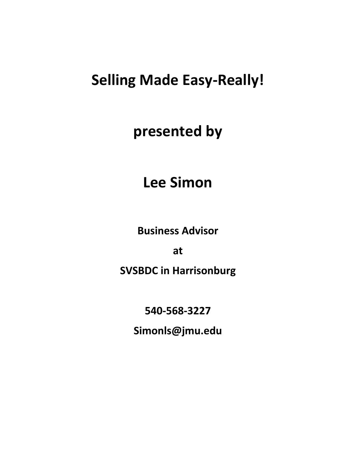# **Selling Made Easy-Really!**

# **presented by**

# **Lee Simon**

**Business Advisor**

**at**

**SVSBDC in Harrisonburg**

**540-568-3227**

**Simonls@jmu.edu**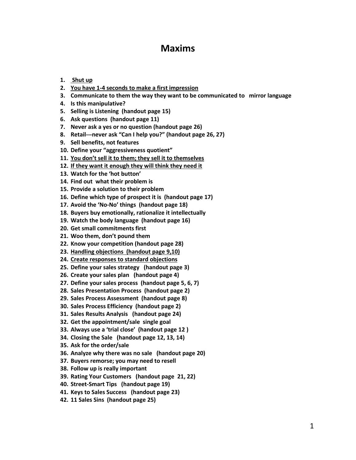### **Maxims**

- **1. Shut up**
- **2. You have 1-4 seconds to make a first impression**
- **3. Communicate to them the way they want to be communicated to mirror language**
- **4. Is this manipulative?**
- **5. Selling is Listening (handout page 15)**
- **6. Ask questions (handout page 11)**
- **7. Never ask a yes or no question (handout page 26)**
- **8. Retail---never ask "Can I help you?" (handout page 26, 27)**
- **9. Sell benefits, not features**
- **10. Define your "aggressiveness quotient"**
- **11. You don't sell it to them; they sell it to themselves**
- **12. If they want it enough they will think they need it**
- **13. Watch for the 'hot button'**
- **14. Find out what their problem is**
- **15. Provide a solution to their problem**
- **16. Define which type of prospect it is (handout page 17)**
- **17. Avoid the 'No-No' things (handout page 18)**
- **18. Buyers buy emotionally, rationalize it intellectually**
- **19. Watch the body language (handout page 16)**
- **20. Get small commitments first**
- **21. Woo them, don't pound them**
- **22. Know your competition (handout page 28)**
- **23. Handling objections (handout page 9,10)**
- **24. Create responses to standard objections**
- **25. Define your sales strategy (handout page 3)**
- **26. Create your sales plan (handout page 4)**
- **27. Define your sales process (handout page 5, 6, 7)**
- **28. Sales Presentation Process (handout page 2)**
- **29. Sales Process Assessment (handout page 8)**
- **30. Sales Process Efficiency (handout page 2)**
- **31. Sales Results Analysis (handout page 24)**
- **32. Get the appointment/sale single goal**
- **33. Always use a 'trial close' (handout page 12 )**
- **34. Closing the Sale (handout page 12, 13, 14)**
- **35. Ask for the order/sale**
- **36. Analyze why there was no sale (handout page 20)**
- **37. Buyers remorse; you may need to resell**
- **38. Follow up is really important**
- **39. Rating Your Customers (handout page 21, 22)**
- **40. Street-Smart Tips (handout page 19)**
- **41. Keys to Sales Success (handout page 23)**
- **42. 11 Sales Sins (handout page 25)**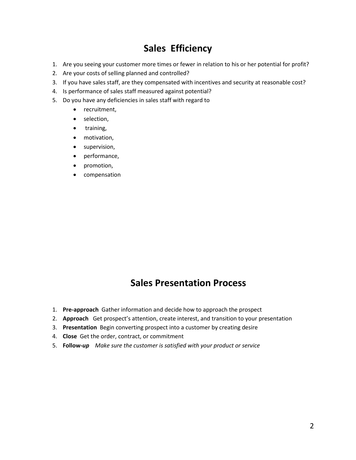## **Sales Efficiency**

- 1. Are you seeing your customer more times or fewer in relation to his or her potential for profit?
- 2. Are your costs of selling planned and controlled?
- 3. If you have sales staff, are they compensated with incentives and security at reasonable cost?
- 4. Is performance of sales staff measured against potential?
- 5. Do you have any deficiencies in sales staff with regard to
	- recruitment,
	- selection,
	- training,
	- motivation,
	- **•** supervision,
	- performance,
	- promotion,
	- **•** compensation

### **Sales Presentation Process**

- 1. **Pre-approach** Gather information and decide how to approach the prospect
- 2. **Approach** Get prospect's attention, create interest, and transition to your presentation
- 3. **Presentation** Begin converting prospect into a customer by creating desire
- 4. **Close** Get the order, contract, or commitment
- 5. **Follow-***up Make sure the customer is satisfied with your product or service*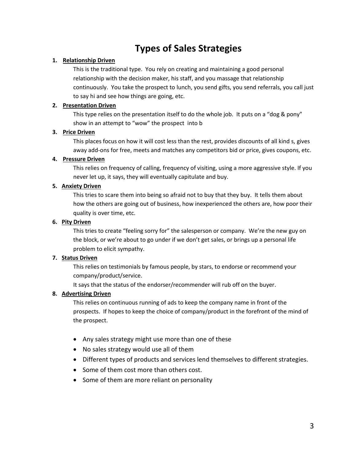# **Types of Sales Strategies**

#### **1. Relationship Driven**

This is the traditional type. You rely on creating and maintaining a good personal relationship with the decision maker, his staff, and you massage that relationship continuously. You take the prospect to lunch, you send gifts, you send referrals, you call just to say hi and see how things are going, etc.

#### **2. Presentation Driven**

This type relies on the presentation itself to do the whole job. It puts on a "dog & pony" show in an attempt to "wow" the prospect into b

#### **3. Price Driven**

This places focus on how it will cost less than the rest, provides discounts of all kind s, gives away add-ons for free, meets and matches any competitors bid or price, gives coupons, etc.

#### **4. Pressure Driven**

This relies on frequency of calling, frequency of visiting, using a more aggressive style. If you never let up, it says, they will eventually capitulate and buy.

#### **5. Anxiety Driven**

This tries to scare them into being so afraid not to buy that they buy. It tells them about how the others are going out of business, how inexperienced the others are, how poor their quality is over time, etc.

#### **6. Pity Driven**

This tries to create "feeling sorry for" the salesperson or company. We're the new guy on the block, or we're about to go under if we don't get sales, or brings up a personal life problem to elicit sympathy.

#### **7. Status Driven**

This relies on testimonials by famous people, by stars, to endorse or recommend your company/product/service.

It says that the status of the endorser/recommender will rub off on the buyer.

#### **8. Advertising Driven**

This relies on continuous running of ads to keep the company name in front of the prospects. If hopes to keep the choice of company/product in the forefront of the mind of the prospect.

- Any sales strategy might use more than one of these
- No sales strategy would use all of them
- Different types of products and services lend themselves to different strategies.
- Some of them cost more than others cost.
- Some of them are more reliant on personality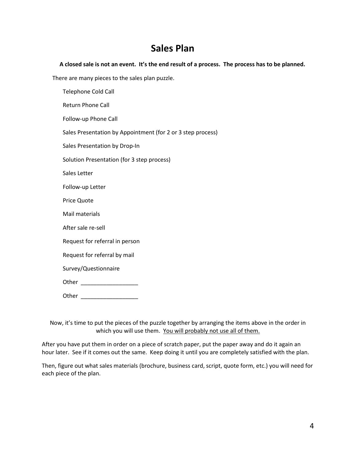## **Sales Plan**

#### **A closed sale is not an event. It's the end result of a process. The process has to be planned.**

There are many pieces to the sales plan puzzle.

Telephone Cold Call Return Phone Call Follow-up Phone Call Sales Presentation by Appointment (for 2 or 3 step process) Sales Presentation by Drop-In Solution Presentation (for 3 step process) Sales Letter Follow-up Letter Price Quote Mail materials After sale re-sell Request for referral in person Request for referral by mail Survey/Questionnaire Other \_\_\_\_\_\_\_\_\_\_\_\_\_\_\_\_\_\_ Other \_\_\_\_\_\_\_\_\_\_\_\_\_\_\_\_\_\_

Now, it's time to put the pieces of the puzzle together by arranging the items above in the order in which you will use them. You will probably not use all of them.

After you have put them in order on a piece of scratch paper, put the paper away and do it again an hour later. See if it comes out the same. Keep doing it until you are completely satisfied with the plan.

Then, figure out what sales materials (brochure, business card, script, quote form, etc.) you will need for each piece of the plan.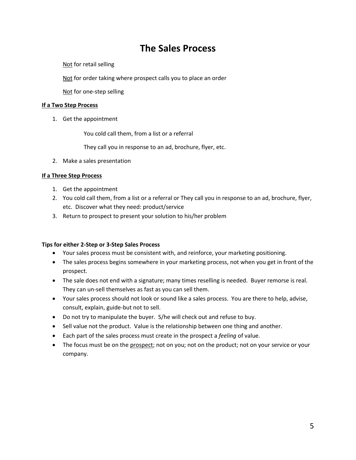### **The Sales Process**

Not for retail selling

Not for order taking where prospect calls you to place an order

Not for one-step selling

#### **If a Two Step Process**

1. Get the appointment

You cold call them, from a list or a referral

They call you in response to an ad, brochure, flyer, etc.

2. Make a sales presentation

#### **If a Three Step Process**

- 1. Get the appointment
- 2. You cold call them, from a list or a referral or They call you in response to an ad, brochure, flyer, etc. Discover what they need: product/service
- 3. Return to prospect to present your solution to his/her problem

#### **Tips for either 2-Step or 3-Step Sales Process**

- Your sales process must be consistent with, and reinforce, your marketing positioning.
- The sales process begins somewhere in your marketing process, not when you get in front of the prospect.
- The sale does not end with a signature; many times reselling is needed. Buyer remorse is real. They can un-sell themselves as fast as you can sell them.
- Your sales process should not look or sound like a sales process. You are there to help, advise, consult, explain, guide-but not to sell.
- Do not try to manipulate the buyer. S/he will check out and refuse to buy.
- Sell value not the product. Value is the relationship between one thing and another.
- Each part of the sales process must create in the prospect a *feeling* of value.
- The focus must be on the prospect; not on you; not on the product; not on your service or your company.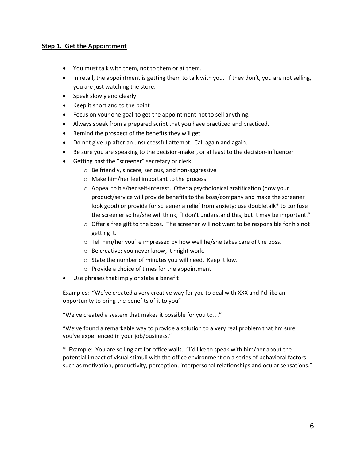#### **Step 1. Get the Appointment**

- You must talk with them, not to them or at them.
- In retail, the appointment is getting them to talk with you. If they don't, you are not selling, you are just watching the store.
- Speak slowly and clearly.
- Keep it short and to the point
- Focus on your one goal-to get the appointment-not to sell anything.
- Always speak from a prepared script that you have practiced and practiced.
- Remind the prospect of the benefits they will get
- Do not give up after an unsuccessful attempt. Call again and again.
- Be sure you are speaking to the decision-maker, or at least to the decision-influencer
- Getting past the "screener" secretary or clerk
	- o Be friendly, sincere, serious, and non-aggressive
	- o Make him/her feel important to the process
	- o Appeal to his/her self-interest. Offer a psychological gratification (how your product/service will provide benefits to the boss/company and make the screener look good) or provide for screener a relief from anxiety; use doubletalk\* to confuse the screener so he/she will think, "I don't understand this, but it may be important."
	- $\circ$  Offer a free gift to the boss. The screener will not want to be responsible for his not getting it.
	- o Tell him/her you're impressed by how well he/she takes care of the boss.
	- o Be creative; you never know, it might work.
	- o State the number of minutes you will need. Keep it low.
	- o Provide a choice of times for the appointment
- Use phrases that imply or state a benefit

Examples: "We've created a very creative way for you to deal with XXX and I'd like an opportunity to bring the benefits of it to you"

"We've created a system that makes it possible for you to..."

"We've found a remarkable way to provide a solution to a very real problem that I'm sure you've experienced in your job/business."

\* Example: You are selling art for office walls. "I'd like to speak with him/her about the potential impact of visual stimuli with the office environment on a series of behavioral factors such as motivation, productivity, perception, interpersonal relationships and ocular sensations."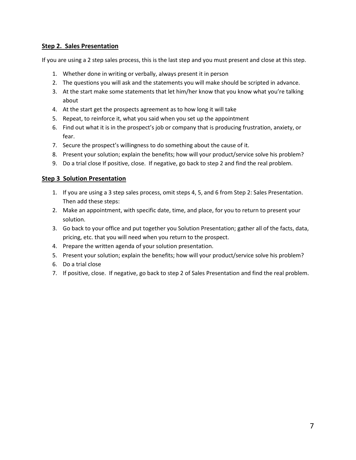#### **Step 2. Sales Presentation**

If you are using a 2 step sales process, this is the last step and you must present and close at this step.

- 1. Whether done in writing or verbally, always present it in person
- 2. The questions you will ask and the statements you will make should be scripted in advance.
- 3. At the start make some statements that let him/her know that you know what you're talking about
- 4. At the start get the prospects agreement as to how long it will take
- 5. Repeat, to reinforce it, what you said when you set up the appointment
- 6. Find out what it is in the prospect's job or company that is producing frustration, anxiety, or fear.
- 7. Secure the prospect's willingness to do something about the cause of it.
- 8. Present your solution; explain the benefits; how will your product/service solve his problem?
- 9. Do a trial close If positive, close. If negative, go back to step 2 and find the real problem.

#### **Step 3 Solution Presentation**

- 1. If you are using a 3 step sales process, omit steps 4, 5, and 6 from Step 2: Sales Presentation. Then add these steps:
- 2. Make an appointment, with specific date, time, and place, for you to return to present your solution.
- 3. Go back to your office and put together you Solution Presentation; gather all of the facts, data, pricing, etc. that you will need when you return to the prospect.
- 4. Prepare the written agenda of your solution presentation.
- 5. Present your solution; explain the benefits; how will your product/service solve his problem?
- 6. Do a trial close
- 7. If positive, close. If negative, go back to step 2 of Sales Presentation and find the real problem.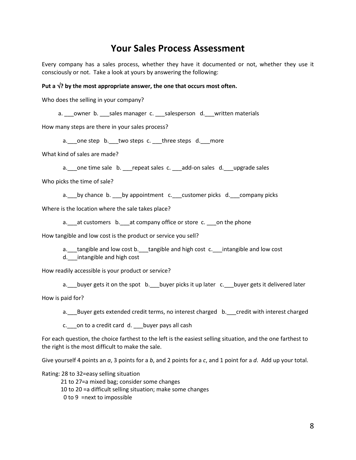### **Your Sales Process Assessment**

Every company has a sales process, whether they have it documented or not, whether they use it consciously or not. Take a look at yours by answering the following:

#### Put a  $\sqrt{?}$  by the most appropriate answer, the one that occurs most often.

Who does the selling in your company?

a. \_\_\_owner b. \_\_\_sales manager c. \_\_\_salesperson d. \_\_written materials

How many steps are there in your sales process?

a. one step b. two steps c. three steps d. more

What kind of sales are made?

a. one time sale b. repeat sales c. add-on sales d. upgrade sales

Who picks the time of sale?

a. by chance b. by appointment c. customer picks d. company picks

Where is the location where the sale takes place?

a. at customers b. at company office or store c. on the phone

How tangible and low cost is the product or service you sell?

a. tangible and low cost b. tangible and high cost c. intangible and low cost

d. intangible and high cost

How readily accessible is your product or service?

a. buyer gets it on the spot b. \_\_\_buyer picks it up later c. \_\_\_buyer gets it delivered later

How is paid for?

a. Buyer gets extended credit terms, no interest charged b. credit with interest charged

c. on to a credit card d. buyer pays all cash

For each question, the choice farthest to the left is the easiest selling situation, and the one farthest to the right is the most difficult to make the sale.

Give yourself 4 points an *a*, 3 points for a *b*, and 2 points for a *c*, and 1 point for a *d*. Add up your total.

Rating: 28 to 32=easy selling situation

21 to 27=a mixed bag; consider some changes

10 to 20 =a difficult selling situation; make some changes

0 to 9 =next to impossible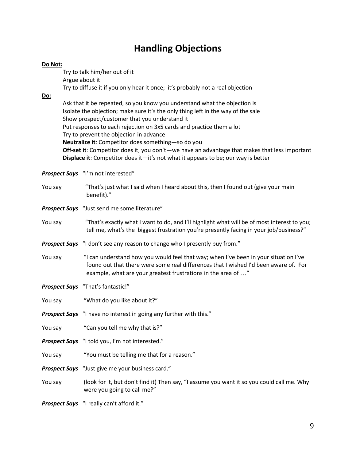# **Handling Objections**

| Do Not: |                                                                                                                                                                                                                                                                                                                                                                                                                                                                                                                                                                               |  |  |  |  |
|---------|-------------------------------------------------------------------------------------------------------------------------------------------------------------------------------------------------------------------------------------------------------------------------------------------------------------------------------------------------------------------------------------------------------------------------------------------------------------------------------------------------------------------------------------------------------------------------------|--|--|--|--|
|         | Try to talk him/her out of it                                                                                                                                                                                                                                                                                                                                                                                                                                                                                                                                                 |  |  |  |  |
|         | Argue about it                                                                                                                                                                                                                                                                                                                                                                                                                                                                                                                                                                |  |  |  |  |
| Do:     | Try to diffuse it if you only hear it once; it's probably not a real objection                                                                                                                                                                                                                                                                                                                                                                                                                                                                                                |  |  |  |  |
|         | Ask that it be repeated, so you know you understand what the objection is<br>Isolate the objection; make sure it's the only thing left in the way of the sale<br>Show prospect/customer that you understand it<br>Put responses to each rejection on 3x5 cards and practice them a lot<br>Try to prevent the objection in advance<br>Neutralize it: Competitor does something-so do you<br>Off-set it: Competitor does it, you don't—we have an advantage that makes that less important<br>Displace it: Competitor does it-it's not what it appears to be; our way is better |  |  |  |  |
|         | Prospect Says "I'm not interested"                                                                                                                                                                                                                                                                                                                                                                                                                                                                                                                                            |  |  |  |  |
| You say | "That's just what I said when I heard about this, then I found out (give your main<br>benefit)."                                                                                                                                                                                                                                                                                                                                                                                                                                                                              |  |  |  |  |
|         | <b>Prospect Says</b> "Just send me some literature"                                                                                                                                                                                                                                                                                                                                                                                                                                                                                                                           |  |  |  |  |
| You say | "That's exactly what I want to do, and I'll highlight what will be of most interest to you;<br>tell me, what's the biggest frustration you're presently facing in your job/business?"                                                                                                                                                                                                                                                                                                                                                                                         |  |  |  |  |
|         | <b>Prospect Says</b> "I don't see any reason to change who I presently buy from."                                                                                                                                                                                                                                                                                                                                                                                                                                                                                             |  |  |  |  |
| You say | "I can understand how you would feel that way; when I've been in your situation I've<br>found out that there were some real differences that I wished I'd been aware of. For<br>example, what are your greatest frustrations in the area of "                                                                                                                                                                                                                                                                                                                                 |  |  |  |  |
|         | <b>Prospect Says</b> "That's fantastic!"                                                                                                                                                                                                                                                                                                                                                                                                                                                                                                                                      |  |  |  |  |
| You say | "What do you like about it?"                                                                                                                                                                                                                                                                                                                                                                                                                                                                                                                                                  |  |  |  |  |
|         | <b>Prospect Says</b> "I have no interest in going any further with this."                                                                                                                                                                                                                                                                                                                                                                                                                                                                                                     |  |  |  |  |
| You say | "Can you tell me why that is?"                                                                                                                                                                                                                                                                                                                                                                                                                                                                                                                                                |  |  |  |  |
|         | Prospect Says "I told you, I'm not interested."                                                                                                                                                                                                                                                                                                                                                                                                                                                                                                                               |  |  |  |  |
| You say | "You must be telling me that for a reason."                                                                                                                                                                                                                                                                                                                                                                                                                                                                                                                                   |  |  |  |  |
|         | Prospect Says "Just give me your business card."                                                                                                                                                                                                                                                                                                                                                                                                                                                                                                                              |  |  |  |  |
| You say | (look for it, but don't find it) Then say, "I assume you want it so you could call me. Why<br>were you going to call me?"                                                                                                                                                                                                                                                                                                                                                                                                                                                     |  |  |  |  |
|         | Prospect Says "I really can't afford it."                                                                                                                                                                                                                                                                                                                                                                                                                                                                                                                                     |  |  |  |  |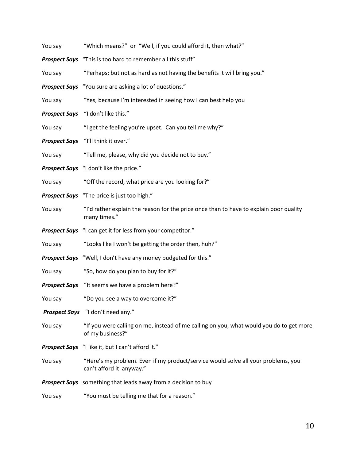| You say              | "Which means?" or "Well, if you could afford it, then what?"                                                  |  |  |
|----------------------|---------------------------------------------------------------------------------------------------------------|--|--|
|                      | <b>Prospect Says</b> "This is too hard to remember all this stuff"                                            |  |  |
| You say              | "Perhaps; but not as hard as not having the benefits it will bring you."                                      |  |  |
|                      | <b>Prospect Says</b> "You sure are asking a lot of questions."                                                |  |  |
| You say              | "Yes, because I'm interested in seeing how I can best help you                                                |  |  |
| <b>Prospect Says</b> | "I don't like this."                                                                                          |  |  |
| You say              | "I get the feeling you're upset. Can you tell me why?"                                                        |  |  |
| <b>Prospect Says</b> | "I'll think it over."                                                                                         |  |  |
| You say              | "Tell me, please, why did you decide not to buy."                                                             |  |  |
|                      | Prospect Says "I don't like the price."                                                                       |  |  |
| You say              | "Off the record, what price are you looking for?"                                                             |  |  |
|                      | <b>Prospect Says</b> "The price is just too high."                                                            |  |  |
| You say              | "I'd rather explain the reason for the price once than to have to explain poor quality<br>many times."        |  |  |
|                      | <b>Prospect Says</b> "I can get it for less from your competitor."                                            |  |  |
| You say              | "Looks like I won't be getting the order then, huh?"                                                          |  |  |
|                      | Prospect Says "Well, I don't have any money budgeted for this."                                               |  |  |
| You say              | "So, how do you plan to buy for it?"                                                                          |  |  |
|                      | <b>Prospect Says</b> "It seems we have a problem here?"                                                       |  |  |
| You say              | "Do you see a way to overcome it?"                                                                            |  |  |
|                      | Prospect Says "I don't need any."                                                                             |  |  |
| You say              | "If you were calling on me, instead of me calling on you, what would you do to get more<br>of my business?"   |  |  |
|                      | Prospect Says "I like it, but I can't afford it."                                                             |  |  |
| You say              | "Here's my problem. Even if my product/service would solve all your problems, you<br>can't afford it anyway." |  |  |
|                      | Prospect Says something that leads away from a decision to buy                                                |  |  |
| You say              | "You must be telling me that for a reason."                                                                   |  |  |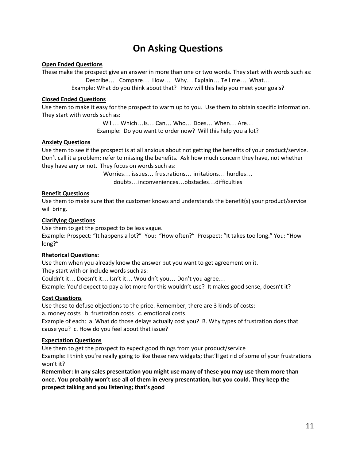# **On Asking Questions**

#### **Open Ended Questions**

These make the prospect give an answer in more than one or two words. They start with words such as: Describe... Compare... How ... Why ... Explain ... Tell me... What... Example: What do you think about that? How will this help you meet your goals?

#### **Closed Ended Questions**

Use them to make it easy for the prospect to warm up to you. Use them to obtain specific information. They start with words such as:

> Will... Which...Is... Can ... Who... Does... When ... Are... Example: Do you want to order now? Will this help you a lot?

#### **Anxiety Questions**

Use them to see if the prospect is at all anxious about not getting the benefits of your product/service. Don't call it a problem; refer to missing the benefits. Ask how much concern they have, not whether they have any or not. They focus on words such as:

> Worries... issues... frustrations... irritations... hurdles... doubts...inconveniences...obstacles...difficulties

#### **Benefit Questions**

Use them to make sure that the customer knows and understands the benefit(s) your product/service will bring.

#### **Clarifying Questions**

Use them to get the prospect to be less vague.

Example: Prospect: "It happens a lot?" You: "How often?" Prospect: "It takes too long." You: "How long?"

#### **Rhetorical Questions:**

Use them when you already know the answer but you want to get agreement on it.

They start with or include words such as:

Couldn't it... Doesn't it... Isn't it... Wouldn't you... Don't you agree... Example: You'd expect to pay a lot more for this wouldn't use? It makes good sense, doesn't it?

#### **Cost Questions**

Use these to defuse objections to the price. Remember, there are 3 kinds of costs: a. money costs b. frustration costs c. emotional costs Example of each: a. What do those delays actually cost you? B. Why types of frustration does that cause you? c. How do you feel about that issue?

#### **Expectation Questions**

Use them to get the prospect to expect good things from your product/service Example: I think you're really going to like these new widgets; that'll get rid of some of your frustrations won't it?

**Remember: In any sales presentation you might use many of these you may use them more than once. You probably won't use all of them in every presentation, but you could. They keep the prospect talking and you listening; that's good**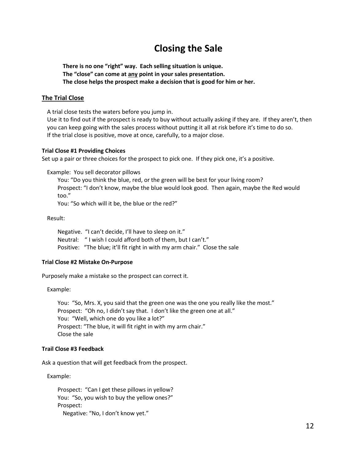# **Closing the Sale**

**There is no one "right" way. Each selling situation is unique. The "close" can come at any point in your sales presentation. The close helps the prospect make a decision that is good for him or her.**

#### **The Trial Close**

A trial close tests the waters before you jump in.

Use it to find out if the prospect is ready to buy without actually asking if they are. If they aren't, then you can keep going with the sales process without putting it all at risk before it's time to do so. If the trial close is positive, move at once, carefully, to a major close.

#### **Trial Close #1 Providing Choices**

Set up a pair or three choices for the prospect to pick one. If they pick one, it's a positive.

Example: You sell decorator pillows

You: "Do you think the blue, red, or the green will be best for your living room? Prospect: "I don't know, maybe the blue would look good. Then again, maybe the Red would too."

You: "So which will it be, the blue or the red?"

Result:

Negative. "I can't decide, I'll have to sleep on it." Neutral: " I wish I could afford both of them, but I can't." Positive: "The blue; it'll fit right in with my arm chair." Close the sale

#### **Trial Close #2 Mistake On-Purpose**

Purposely make a mistake so the prospect can correct it.

Example:

You: "So, Mrs. X, you said that the green one was the one you really like the most." Prospect: "Oh no, I didn't say that. I don't like the green one at all." You: "Well, which one do you like a lot?" Prospect: "The blue, it will fit right in with my arm chair." Close the sale

#### **Trail Close #3 Feedback**

Ask a question that will get feedback from the prospect.

Example:

Prospect: "Can I get these pillows in yellow? You: "So, you wish to buy the yellow ones?" Prospect: Negative: "No, I don't know yet."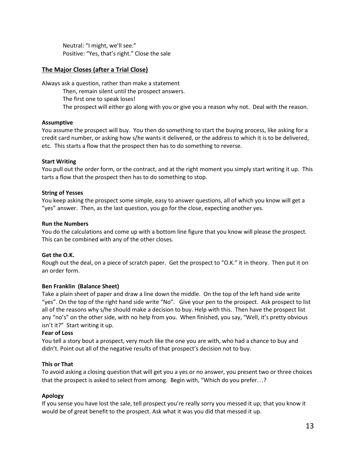Neutral: "I might, we'll see." Positive: "Yes, that's right." Close the sale

#### **The Major Closes (after a Trial Close)**

Always ask a question, rather than make a statement Then, remain silent until the prospect answers. The first one to speak loses! The prospect will either go along with you or give you a reason why not. Deal with the reason.

#### **Assumptive**

You assume the prospect will buy. You then do something to start the buying process, like asking for a credit card number, or asking how s/he wants it delivered, or the address to which it is to be delivered, etc. This starts a flow that the prospect then has to do something to reverse.

#### **Start Writing**

You pull out the order form, or the contract, and at the right moment you simply start writing it up. This tarts a flow that the prospect then has to do something to stop.

#### **String of Yesses**

You keep asking the prospect some simple, easy to answer questions, all of which you know will get a "yes" answer. Then, as the last question, you go for the close, expecting another yes.

#### **Run the Numbers**

You do the calculations and come up with a bottom line figure that you know will please the prospect. This can be combined with any of the other closes.

#### **Get the O.K.**

Rough out the deal, on a piece of scratch paper. Get the prospect to "O.K." it in theory. Then put it on an order form.

#### **Ben Franklin (Balance Sheet)**

Take a plain sheet of paper and draw a line down the middle. On the top of the left hand side write "yes". On the top of the right hand side write "No". Give your pen to the prospect. Ask prospect to list all of the reasons why s/he should make a decision to buy. Help with this. Then have the prospect list any "no's" on the other side, with no help from you. When finished, you say, "Well, it's pretty obvious isn't it?" Start writing it up.

#### **Fear of Loss**

You tell a story bout a prospect, very much like the one you are with, who had a chance to buy and didn't. Point out all of the negative results of that prospect's decision not to buy.

#### **This or That**

To avoid asking a closing question that will get you a yes or no answer, you present two or three choices that the prospect is asked to select from among. Begin with, "Which do you prefer...?

#### **Apology**

If you sense you have lost the sale, tell prospect you're really sorry you messed it up; that you know it would be of great benefit to the prospect. Ask what it was you did that messed it up.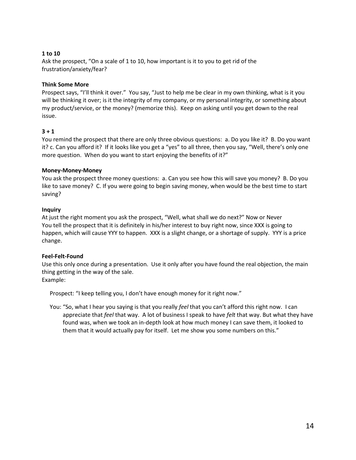#### **1 to 10**

Ask the prospect, "On a scale of 1 to 10, how important is it to you to get rid of the frustration/anxiety/fear?

#### **Think Some More**

Prospect says, "I'll think it over." You say, "Just to help me be clear in my own thinking, what is it you will be thinking it over; is it the integrity of my company, or my personal integrity, or something about my product/service, or the money? (memorize this). Keep on asking until you get down to the real issue.

#### **3 + 1**

You remind the prospect that there are only three obvious questions: a. Do you like it? B. Do you want it? c. Can you afford it? If it looks like you get a "yes" to all three, then you say, "Well, there's only one more question. When do you want to start enjoying the benefits of it?"

#### **Money-Money-Money**

You ask the prospect three money questions: a. Can you see how this will save you money? B. Do you like to save money? C. If you were going to begin saving money, when would be the best time to start saving?

#### **Inquiry**

At just the right moment you ask the prospect, "Well, what shall we do next?" Now or Never You tell the prospect that it is definitely in his/her interest to buy right now, since XXX is going to happen, which will cause YYY to happen. XXX is a slight change, or a shortage of supply. YYY is a price change.

#### **Feel-Felt-Found**

Use this only once during a presentation. Use it only after you have found the real objection, the main thing getting in the way of the sale. Example:

Prospect: "I keep telling you, I don't have enough money for it right now."

You: "So, what I hear you saying is that you really *feel* that you can't afford this right now. I can appreciate that *feel* that way. A lot of business I speak to have *felt* that way. But what they have found was, when we took an in-depth look at how much money I can save them, it looked to them that it would actually pay for itself. Let me show you some numbers on this."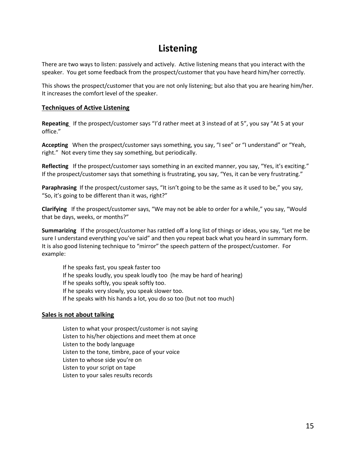# **Listening**

There are two ways to listen: passively and actively. Active listening means that you interact with the speaker. You get some feedback from the prospect/customer that you have heard him/her correctly.

This shows the prospect/customer that you are not only listening; but also that you are hearing him/her. It increases the comfort level of the speaker.

#### **Techniques of Active Listening**

**Repeating** If the prospect/customer says "I'd rather meet at 3 instead of at 5", you say "At 5 at your office."

**Accepting** When the prospect/customer says something, you say, "I see" or "I understand" or "Yeah, right." Not every time they say something, but periodically.

**Reflecting** If the prospect/customer says something in an excited manner, you say, "Yes, it's exciting." If the prospect/customer says that something is frustrating, you say, "Yes, it can be very frustrating."

**Paraphrasing** If the prospect/customer says, "It isn't going to be the same as it used to be," you say, "So, it's going to be different than it was, right?"

**Clarifying** If the prospect/customer says, "We may not be able to order for a while," you say, "Would that be days, weeks, or months?"

**Summarizing** If the prospect/customer has rattled off a long list of things or ideas, you say, "Let me be sure I understand everything you've said" and then you repeat back what you heard in summary form. It is also good listening technique to "mirror" the speech pattern of the prospect/customer. For example:

If he speaks fast, you speak faster too If he speaks loudly, you speak loudly too (he may be hard of hearing) If he speaks softly, you speak softly too. If he speaks very slowly, you speak slower too. If he speaks with his hands a lot, you do so too (but not too much)

#### **Sales is not about talking**

Listen to what your prospect/customer is not saying Listen to his/her objections and meet them at once Listen to the body language Listen to the tone, timbre, pace of your voice Listen to whose side you're on Listen to your script on tape Listen to your sales results records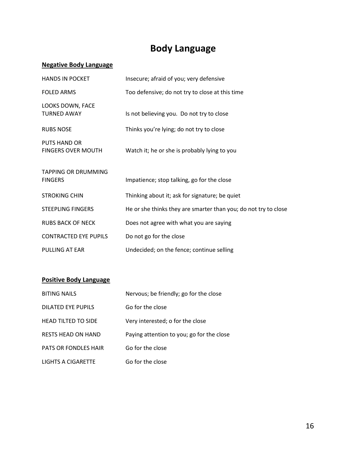# **Body Language**

#### **Negative Body Language**

| <b>HANDS IN POCKET</b>                           | Insecure; afraid of you; very defensive                         |
|--------------------------------------------------|-----------------------------------------------------------------|
| <b>FOLED ARMS</b>                                | Too defensive; do not try to close at this time                 |
| LOOKS DOWN, FACE<br><b>TURNED AWAY</b>           | Is not believing you. Do not try to close                       |
| <b>RUBS NOSE</b>                                 | Thinks you're lying; do not try to close                        |
| <b>PUTS HAND OR</b><br><b>FINGERS OVER MOUTH</b> | Watch it; he or she is probably lying to you                    |
| <b>TAPPING OR DRUMMING</b><br><b>FINGERS</b>     | Impatience; stop talking, go for the close                      |
| <b>STROKING CHIN</b>                             | Thinking about it; ask for signature; be quiet                  |
| <b>STEEPLING FINGERS</b>                         | He or she thinks they are smarter than you; do not try to close |
| <b>RUBS BACK OF NECK</b>                         | Does not agree with what you are saying                         |
| <b>CONTRACTED EYE PUPILS</b>                     | Do not go for the close                                         |
| PULLING AT EAR                                   | Undecided; on the fence; continue selling                       |

#### **Positive Body Language**

| <b>BITING NAILS</b>         | Nervous; be friendly; go for the close    |
|-----------------------------|-------------------------------------------|
| DILATED EYE PUPILS          | Go for the close                          |
| <b>HEAD TILTED TO SIDE</b>  | Very interested; o for the close          |
| <b>RESTS HEAD ON HAND</b>   | Paying attention to you; go for the close |
| <b>PATS OR FONDLES HAIR</b> | Go for the close                          |
| LIGHTS A CIGARETTE          | Go for the close                          |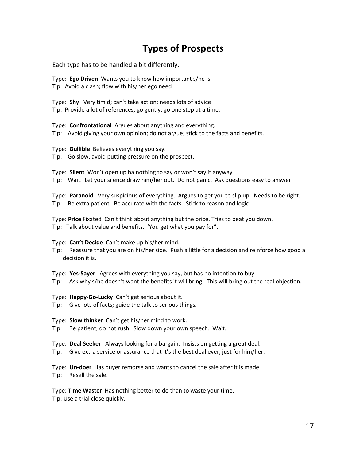# **Types of Prospects**

Each type has to be handled a bit differently.

Type: **Ego Driven** Wants you to know how important s/he is Tip: Avoid a clash; flow with his/her ego need

Type: **Shy** Very timid; can't take action; needs lots of advice Tip: Provide a lot of references; go gently; go one step at a time.

Type: **Confrontational** Argues about anything and everything. Tip: Avoid giving your own opinion; do not argue; stick to the facts and benefits.

Type: **Gullible** Believes everything you say. Tip: Go slow, avoid putting pressure on the prospect.

Type: **Silent** Won't open up ha nothing to say or won't say it anyway Tip: Wait. Let your silence draw him/her out. Do not panic. Ask questions easy to answer.

Type: **Paranoid** Very suspicious of everything. Argues to get you to slip up. Needs to be right. Tip: Be extra patient. Be accurate with the facts. Stick to reason and logic.

Type: **Price** Fixated Can't think about anything but the price. Tries to beat you down. Tip: Talk about value and benefits. 'You get what you pay for".

Type: **Can't Decide** Can't make up his/her mind.

Tip: Reassure that you are on his/her side. Push a little for a decision and reinforce how good a decision it is.

Type: **Yes-Sayer** Agrees with everything you say, but has no intention to buy.

Tip: Ask why s/he doesn't want the benefits it will bring. This will bring out the real objection.

Type: **Happy-Go-Lucky** Can't get serious about it.

Tip: Give lots of facts; guide the talk to serious things.

Type: **Slow thinker** Can't get his/her mind to work.

Tip: Be patient; do not rush. Slow down your own speech. Wait.

Type: **Deal Seeker** Always looking for a bargain. Insists on getting a great deal.

Tip: Give extra service or assurance that it's the best deal ever, just for him/her.

Type: **Un-doer** Has buyer remorse and wants to cancel the sale after it is made. Tip: Resell the sale.

Type: **Time Waster** Has nothing better to do than to waste your time. Tip: Use a trial close quickly.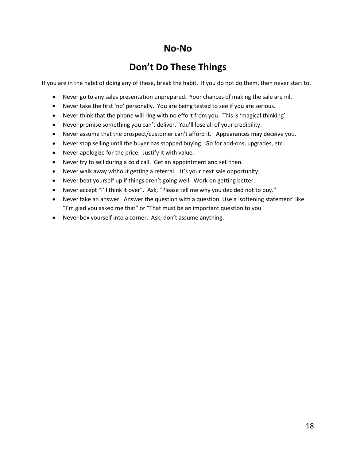### **No-No**

# **Don't Do These Things**

If you are in the habit of doing any of these, break the habit. If you do not do them, then never start to.

- Never go to any sales presentation unprepared. Your chances of making the sale are nil.
- Never take the first 'no' personally. You are being tested to see if you are serious.
- Never think that the phone will ring with no effort from you. This is 'magical thinking'.
- Never promise something you can't deliver. You'll lose all of your credibility.
- Never assume that the prospect/customer can't afford it. Appearances may deceive you.
- Never stop selling until the buyer has stopped buying. Go for add-ons, upgrades, etc.
- Never apologize for the price. Justify it with value.
- Never try to sell during a cold call. Get an appointment and sell then.
- Never walk away without getting a referral. It's your next sale opportunity.
- Never beat yourself up if things aren't going well. Work on getting better.
- Never accept "I'll think it over". Ask, "Please tell me why you decided not to buy."
- Never fake an answer. Answer the question with a question. Use a 'softening statement' like "I'm glad you asked me that" or "That must be an important question to you"
- Never box yourself into a corner. Ask; don't assume anything.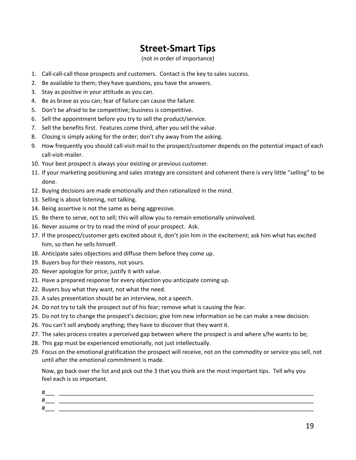# **Street-Smart Tips**

#### (not in order of importance)

- 1. Call-call-call those prospects and customers. Contact is the key to sales success.
- 2. Be available to them; they have questions, you have the answers.
- 3. Stay as positive in your attitude as you can.
- 4. Be as brave as you can; fear of failure can cause the failure.
- 5. Don't be afraid to be competitive; business is competitive.
- 6. Sell the appointment before you try to sell the product/service.
- 7. Sell the benefits first. Features come third, after you sell the value.
- 8. Closing is simply asking for the order; don't shy away from the asking.
- 9. How frequently you should call-visit-mail to the prospect/customer depends on the potential impact of each call-visit-mailer.
- 10. Your best prospect is always your existing or previous customer.
- 11. If your marketing positioning and sales strategy are consistent and coherent there is very little "selling" to be done.
- 12. Buying decisions are made emotionally and then rationalized in the mind.
- 13. Selling is about listening, not talking.
- 14. Being assertive is not the same as being aggressive.
- 15. Be there to serve, not to sell; this will allow you to remain emotionally uninvolved.
- 16. Never assume or try to read the mind of your prospect. Ask.
- 17. If the prospect/customer gets excited about it, don't join him in the excitement; ask him what has excited him, so then he sells himself.
- 18. Anticipate sales objections and diffuse them before they come up.
- 19. Buyers buy for their reasons, not yours.
- 20. Never apologize for price; justify it with value.
- 21. Have a prepared response for every objection you anticipate coming up.
- 22. Buyers buy what they want, not what the need.
- 23. A sales presentation should be an interview, not a speech.
- 24. Do not try to talk the prospect out of his fear; remove what is causing the fear.
- 25. Do not try to change the prospect's decision; give him new information so he can make a new decision.
- 26. You can't sell anybody anything; they have to discover that they want it.
- 27. The sales process creates a perceived gap between where the prospect is and where s/he wants to be;
- 28. This gap must be experienced emotionally, not just intellectually.
- 29. Focus on the emotional gratification the prospect will receive, not on the commodity or service you sell, not until after the emotional commitment is made.

Now, go back over the list and pick out the 3 that you think are the most important tips. Tell why you feel each is so important.

| ₩                   |  |
|---------------------|--|
| $\overline{u}$<br>- |  |
| щ                   |  |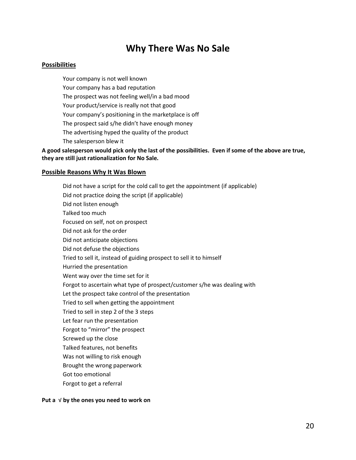### **Why There Was No Sale**

#### **Possibilities**

Your company is not well known Your company has a bad reputation The prospect was not feeling well/in a bad mood Your product/service is really not that good Your company's positioning in the marketplace is off The prospect said s/he didn't have enough money The advertising hyped the quality of the product The salesperson blew it

**A good salesperson would pick only the last of the possibilities. Even if some of the above are true, they are still just rationalization for No Sale.**

#### **Possible Reasons Why It Was Blown**

Did not have a script for the cold call to get the appointment (if applicable) Did not practice doing the script (if applicable) Did not listen enough Talked too much Focused on self, not on prospect Did not ask for the order Did not anticipate objections Did not defuse the objections Tried to sell it, instead of guiding prospect to sell it to himself Hurried the presentation Went way over the time set for it Forgot to ascertain what type of prospect/customer s/he was dealing with Let the prospect take control of the presentation Tried to sell when getting the appointment Tried to sell in step 2 of the 3 steps Let fear run the presentation Forgot to "mirror" the prospect Screwed up the close Talked features, not benefits Was not willing to risk enough Brought the wrong paperwork Got too emotional Forgot to get a referral

#### **Put a** √ **by the ones you need to work on**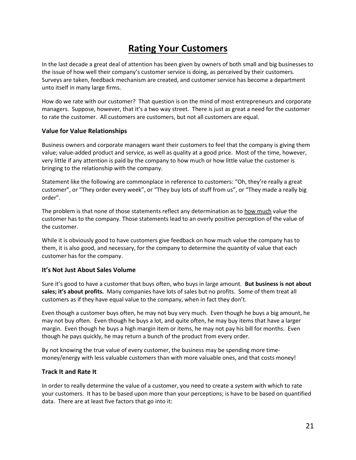# **Rating Your Customers**

In the last decade a great deal of attention has been given by owners of both small and big businesses to the issue of how well their company's customer service is doing, as perceived by their customers. Surveys are taken, feedback mechanism are created, and customer service has become a department unto itself in many large firms.

How do we rate with our customer? That question is on the mind of most entrepreneurs and corporate managers. Suppose, however, that it's a two way street. There is just as great a need for the customer to rate the customer. All customers are customers, but not all customers are equal.

#### **Value for Value Relationships**

Business owners and corporate managers want their customers to feel that the company is giving them value; value-added product and service, as well as quality at a good price. Most of the time, however, very little if any attention is paid by the company to how much or how little value the customer is bringing to the relationship with the company.

Statement like the following are commonplace in reference to customers: "Oh, they're really a great customer", or "They order every week", or "They buy lots of stuff from us", or "They made a really big order".

The problem is that none of those statements reflect any determination as to how much value the customer has to the company. Those statements lead to an overly positive perception of the value of the customer.

While it is obviously good to have customers give feedback on how much value the company has to them, it is also good, and necessary, for the company to determine the quantity of value that each customer has for the company.

#### **It's Not Just About Sales Volume**

Sure it's good to have a customer that buys often, who buys in large amount. **But business is not about sales; it's about profits.** Many companies have lots of sales but no profits. Some of them treat all customers as if they have equal value to the company, when in fact they don't.

Even though a customer buys often, he may not buy very much. Even though he buys a big amount, he may not buy often. Even though he buys a lot, and quite often, he may buy items that have a larger margin. Even though he buys a high margin item or items, he may not pay his bill for months. Even though he pays quickly, he may return a bunch of the product from every order.

By not knowing the true value of every customer, the business may be spending more timemoney/energy with less valuable customers than with more valuable ones, and that costs money!

#### **Track It and Rate It**

In order to really determine the value of a customer, you need to create a system with which to rate your customers. It has to be based upon more than your perceptions; is have to be based on quantified data. There are at least five factors that go into it: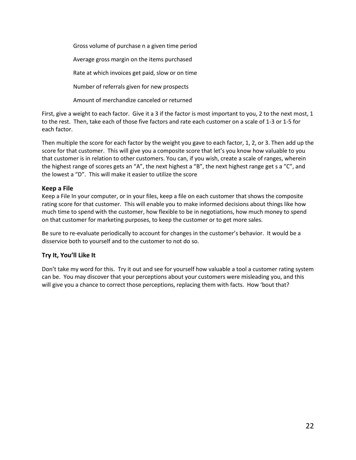Gross volume of purchase n a given time period Average gross margin on the items purchased Rate at which invoices get paid, slow or on time Number of referrals given for new prospects Amount of merchandize canceled or returned

First, give a weight to each factor. Give it a 3 if the factor is most important to you, 2 to the next most, 1 to the rest. Then, take each of those five factors and rate each customer on a scale of 1-3 or 1-5 for each factor.

Then multiple the score for each factor by the weight you gave to each factor, 1, 2, or 3. Then add up the score for that customer. This will give you a composite score that let's you know how valuable to you that customer is in relation to other customers. You can, if you wish, create a scale of ranges, wherein the highest range of scores gets an "A", the next highest a "B", the next highest range get s a "C", and the lowest a "D". This will make it easier to utilize the score

#### **Keep a File**

Keep a File In your computer, or in your files, keep a file on each customer that shows the composite rating score for that customer. This will enable you to make informed decisions about things like how much time to spend with the customer, how flexible to be in negotiations, how much money to spend on that customer for marketing purposes, to keep the customer or to get more sales.

Be sure to re-evaluate periodically to account for changes in the customer's behavior. It would be a disservice both to yourself and to the customer to not do so.

#### **Try It, You'll Like It**

Don't take my word for this. Try it out and see for yourself how valuable a tool a customer rating system can be. You may discover that your perceptions about your customers were misleading you, and this will give you a chance to correct those perceptions, replacing them with facts. How 'bout that?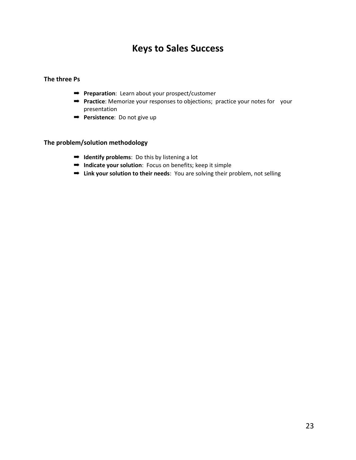### **Keys to Sales Success**

#### **The three Ps**

- ➡ **Preparation**: Learn about your prospect/customer
- ➡ **Practice**: Memorize your responses to objections; practice your notes for your presentation
- ➡ **Persistence**: Do not give up

#### **The problem/solution methodology**

- ➡ **Identify problems**: Do this by listening a lot
- ➡ **Indicate your solution**: Focus on benefits; keep it simple
- ➡ **Link your solution to their needs**: You are solving their problem, not selling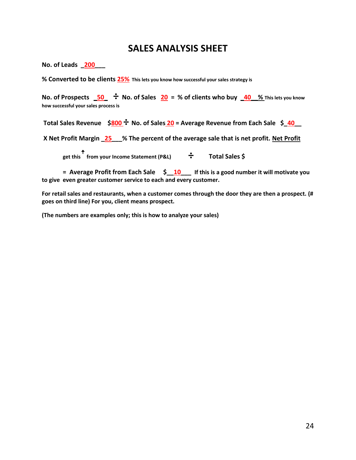### **SALES ANALYSIS SHEET**

**No. of Leads \_200\_\_\_**

**% Converted to be clients 25% This lets you know how successful your sales strategy is**

**No. of Prospects \_50\_ ÷ No. of Sales 20 = % of clients who buy \_40\_\_% This lets you know how successful your sales process is**

**Total Sales Revenue \$800 ÷ No. of Sales <sup>20</sup> = Average Revenue from Each Sale \$\_40\_\_**

**X Net Profit Margin \_25\_\_\_% The percent of the average sale that is net profit. Net Profit**

**get this** ꜛ **from your Income Statement (P&L) ÷ Total Sales \$**

**= Average Profit from Each Sale \$\_\_10\_\_\_ If this is a good number it will motivate you to give even greater customer service to each and every customer.**

**For retail sales and restaurants, when a customer comes through the door they are then a prospect. (# goes on third line) For you, client means prospect.**

**(The numbers are examples only; this is how to analyze your sales)**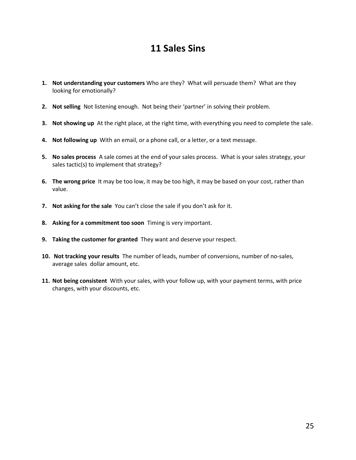### **11 Sales Sins**

- **1. Not understanding your customers** Who are they? What will persuade them? What are they looking for emotionally?
- **2. Not selling** Not listening enough. Not being their 'partner' in solving their problem.
- **3. Not showing up** At the right place, at the right time, with everything you need to complete the sale.
- **4. Not following up** With an email, or a phone call, or a letter, or a text message.
- **5. No sales process** A sale comes at the end of your sales process. What is your sales strategy, your sales tactic(s) to implement that strategy?
- **6. The wrong price** It may be too low, it may be too high, it may be based on your cost, rather than value.
- **7. Not asking for the sale** You can't close the sale if you don't ask for it.
- **8. Asking for a commitment too soon** Timing is very important.
- **9. Taking the customer for granted** They want and deserve your respect.
- **10. Not tracking your results** The number of leads, number of conversions, number of no-sales, average sales dollar amount, etc.
- **11. Not being consistent** With your sales, with your follow up, with your payment terms, with price changes, with your discounts, etc.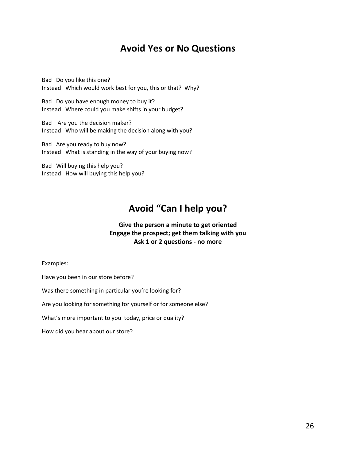### **Avoid Yes or No Questions**

Bad Do you like this one? Instead Which would work best for you, this or that? Why?

Bad Do you have enough money to buy it? Instead Where could you make shifts in your budget?

Bad Are you the decision maker? Instead Who will be making the decision along with you?

Bad Are you ready to buy now? Instead What is standing in the way of your buying now?

Bad Will buying this help you? Instead How will buying this help you?

# **Avoid "Can I help you?**

#### **Give the person a minute to get oriented Engage the prospect; get them talking with you Ask 1 or 2 questions - no more**

Examples:

Have you been in our store before?

Was there something in particular you're looking for?

Are you looking for something for yourself or for someone else?

What's more important to you today, price or quality?

How did you hear about our store?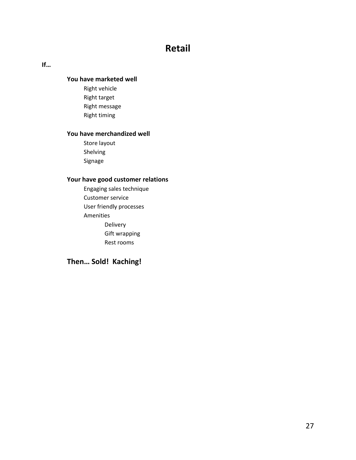## **Retail**

#### **If…**

#### **You have marketed well**

Right vehicle Right target Right message Right timing

#### **You have merchandized well**

Store layout Shelving Signage

#### **Your have good customer relations**

Engaging sales technique Customer service User friendly processes Amenities Delivery Gift wrapping Rest rooms

#### **Then… Sold! Kaching!**